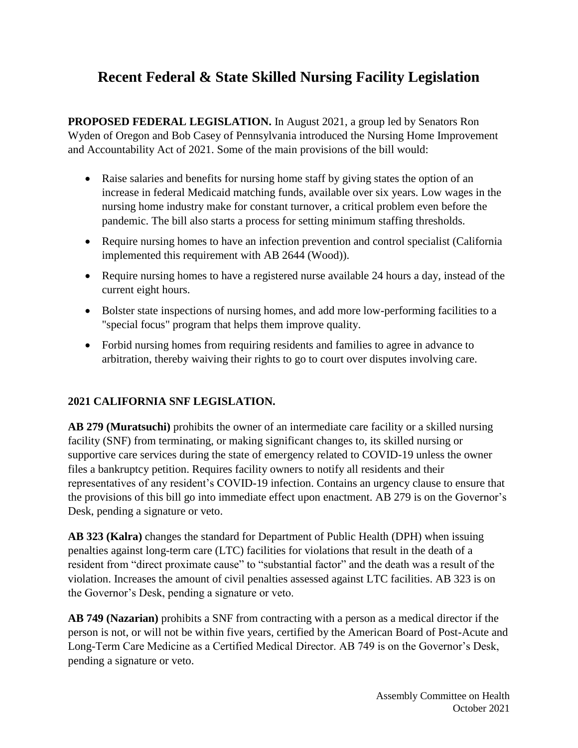## **Recent Federal & State Skilled Nursing Facility Legislation**

**PROPOSED FEDERAL LEGISLATION.** In August 2021, a group led by Senators Ron Wyden of Oregon and Bob Casey of Pennsylvania introduced the Nursing Home Improvement and Accountability Act of 2021. Some of the main provisions of the bill would:

- Raise salaries and benefits for nursing home staff by giving states the option of an increase in federal Medicaid matching funds, available over six years. Low wages in the nursing home industry make for constant turnover, a critical problem even before the pandemic. The bill also starts a process for setting minimum staffing thresholds.
- Require nursing homes to have an infection prevention and control specialist (California implemented this requirement with AB 2644 (Wood)).
- Require nursing homes to have a registered nurse available 24 hours a day, instead of the current eight hours.
- Bolster state inspections of nursing homes, and add more low-performing facilities to a "special focus" program that helps them improve quality.
- Forbid nursing homes from requiring residents and families to agree in advance to arbitration, thereby waiving their rights to go to court over disputes involving care.

## **2021 CALIFORNIA SNF LEGISLATION.**

**AB 279 (Muratsuchi)** prohibits the owner of an intermediate care facility or a skilled nursing facility (SNF) from terminating, or making significant changes to, its skilled nursing or supportive care services during the state of emergency related to COVID-19 unless the owner files a bankruptcy petition. Requires facility owners to notify all residents and their representatives of any resident's COVID-19 infection. Contains an urgency clause to ensure that the provisions of this bill go into immediate effect upon enactment. AB 279 is on the Governor's Desk, pending a signature or veto.

**AB 323 (Kalra)** changes the standard for Department of Public Health (DPH) when issuing penalties against long-term care (LTC) facilities for violations that result in the death of a resident from "direct proximate cause" to "substantial factor" and the death was a result of the violation. Increases the amount of civil penalties assessed against LTC facilities. AB 323 is on the Governor's Desk, pending a signature or veto.

**AB 749 (Nazarian)** prohibits a SNF from contracting with a person as a medical director if the person is not, or will not be within five years, certified by the American Board of Post-Acute and Long-Term Care Medicine as a Certified Medical Director. AB 749 is on the Governor's Desk, pending a signature or veto.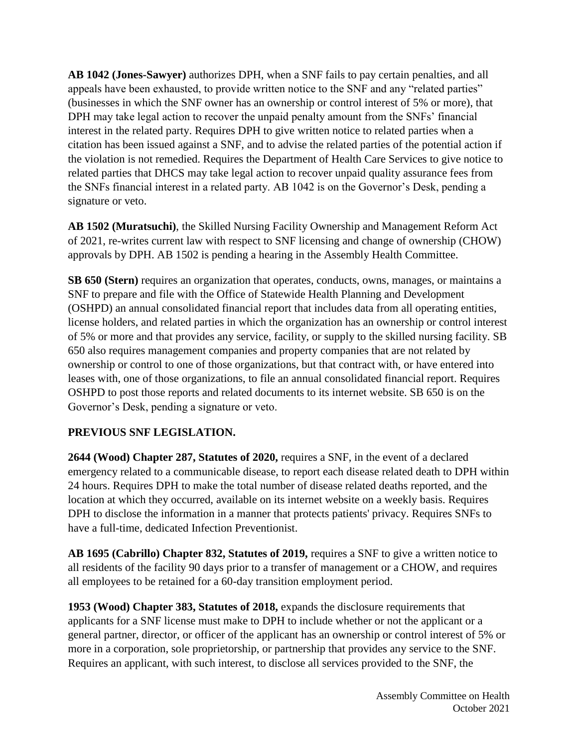**AB 1042 (Jones-Sawyer)** authorizes DPH, when a SNF fails to pay certain penalties, and all appeals have been exhausted, to provide written notice to the SNF and any "related parties" (businesses in which the SNF owner has an ownership or control interest of 5% or more), that DPH may take legal action to recover the unpaid penalty amount from the SNFs' financial interest in the related party. Requires DPH to give written notice to related parties when a citation has been issued against a SNF, and to advise the related parties of the potential action if the violation is not remedied. Requires the Department of Health Care Services to give notice to related parties that DHCS may take legal action to recover unpaid quality assurance fees from the SNFs financial interest in a related party. AB 1042 is on the Governor's Desk, pending a signature or veto.

**AB 1502 (Muratsuchi)**, the Skilled Nursing Facility Ownership and Management Reform Act of 2021, re-writes current law with respect to SNF licensing and change of ownership (CHOW) approvals by DPH. AB 1502 is pending a hearing in the Assembly Health Committee.

**SB 650 (Stern)** requires an organization that operates, conducts, owns, manages, or maintains a SNF to prepare and file with the Office of Statewide Health Planning and Development (OSHPD) an annual consolidated financial report that includes data from all operating entities, license holders, and related parties in which the organization has an ownership or control interest of 5% or more and that provides any service, facility, or supply to the skilled nursing facility. SB 650 also requires management companies and property companies that are not related by ownership or control to one of those organizations, but that contract with, or have entered into leases with, one of those organizations, to file an annual consolidated financial report. Requires OSHPD to post those reports and related documents to its internet website. SB 650 is on the Governor's Desk, pending a signature or veto.

## **PREVIOUS SNF LEGISLATION.**

**2644 (Wood) Chapter 287, Statutes of 2020,** requires a SNF, in the event of a declared emergency related to a communicable disease, to report each disease related death to DPH within 24 hours. Requires DPH to make the total number of disease related deaths reported, and the location at which they occurred, available on its internet website on a weekly basis. Requires DPH to disclose the information in a manner that protects patients' privacy. Requires SNFs to have a full-time, dedicated Infection Preventionist.

AB 1695 (Cabrillo) Chapter 832, Statutes of 2019, requires a SNF to give a written notice to all residents of the facility 90 days prior to a transfer of management or a CHOW, and requires all employees to be retained for a 60-day transition employment period.

**1953 (Wood) Chapter 383, Statutes of 2018,** expands the disclosure requirements that applicants for a SNF license must make to DPH to include whether or not the applicant or a general partner, director, or officer of the applicant has an ownership or control interest of 5% or more in a corporation, sole proprietorship, or partnership that provides any service to the SNF. Requires an applicant, with such interest, to disclose all services provided to the SNF, the